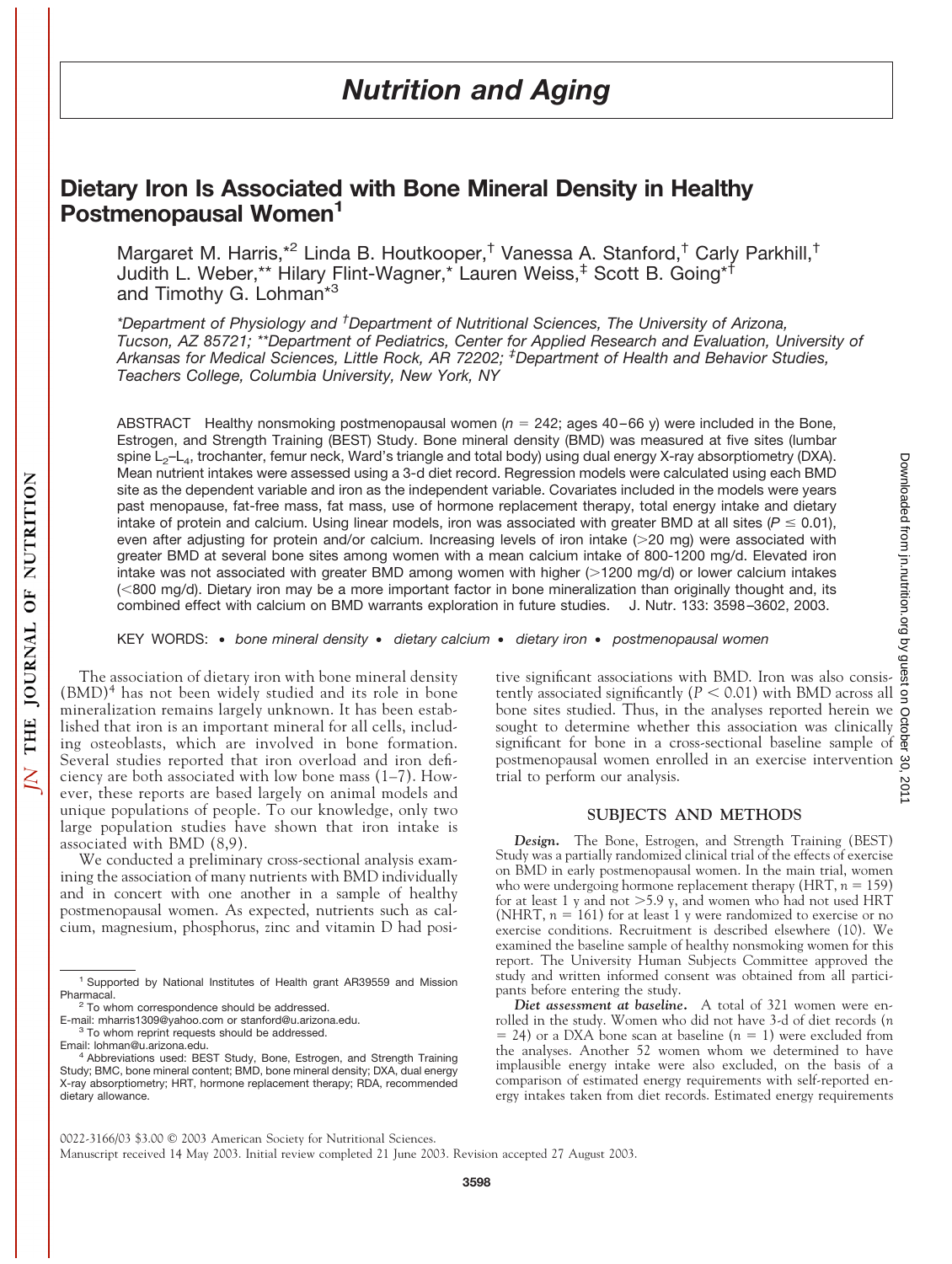# **Dietary Iron Is Associated with Bone Mineral Density in Healthy Postmenopausal Women1**

Margaret M. Harris,\*<sup>2</sup> Linda B. Houtkooper,† Vanessa A. Stanford,† Carly Parkhill,† Judith L. Weber,\*\* Hilary Flint-Wagner,\* Lauren Weiss,‡ Scott B. Going\*† and Timothy G. Lohman\*<sup>3</sup>

*\*Department of Physiology and † Department of Nutritional Sciences, The University of Arizona, Tucson, AZ 85721; \*\*Department of Pediatrics, Center for Applied Research and Evaluation, University of Arkansas for Medical Sciences, Little Rock, AR 72202; ‡ Department of Health and Behavior Studies, Teachers College, Columbia University, New York, NY*

ABSTRACT Healthy nonsmoking postmenopausal women  $(n = 242)$ ; ages  $40-66$  y) were included in the Bone, Estrogen, and Strength Training (BEST) Study. Bone mineral density (BMD) was measured at five sites (lumbar spine  $L_2-L_4$ , trochanter, femur neck, Ward's triangle and total body) using dual energy X-ray absorptiometry (DXA). Mean nutrient intakes were assessed using a 3-d diet record. Regression models were calculated using each BMD site as the dependent variable and iron as the independent variable. Covariates included in the models were years past menopause, fat-free mass, fat mass, use of hormone replacement therapy, total energy intake and dietary intake of protein and calcium. Using linear models, iron was associated with greater BMD at all sites ( $P \le 0.01$ ), even after adjusting for protein and/or calcium. Increasing levels of iron intake (>20 mg) were associated with greater BMD at several bone sites among women with a mean calcium intake of 800-1200 mg/d. Elevated iron intake was not associated with greater BMD among women with higher (>1200 mg/d) or lower calcium intakes (800 mg/d). Dietary iron may be a more important factor in bone mineralization than originally thought and, its combined effect with calcium on BMD warrants exploration in future studies. J. Nutr. 133: 3598–3602, 2003.

KEY WORDS: ● *bone mineral density* ● *dietary calcium* ● *dietary iron* ● *postmenopausal women*

The association of dietary iron with bone mineral density  $(BMD)^4$  has not been widely studied and its role in bone mineralization remains largely unknown. It has been established that iron is an important mineral for all cells, including osteoblasts, which are involved in bone formation. Several studies reported that iron overload and iron deficiency are both associated with low bone mass (1–7). However, these reports are based largely on animal models and unique populations of people. To our knowledge, only two large population studies have shown that iron intake is associated with BMD (8,9).

We conducted a preliminary cross-sectional analysis examining the association of many nutrients with BMD individually and in concert with one another in a sample of healthy postmenopausal women. As expected, nutrients such as calcium, magnesium, phosphorus, zinc and vitamin D had posi-

tive significant associations with BMD. Iron was also consistently associated significantly ( $P < 0.01$ ) with BMD across all  $g$ bone sites studied. Thus, in the analyses reported herein we sought to determine whether this association was clinically significant for bone in a cross-sectional baseline sample of postmenopausal women enrolled in an exercise intervention  $\mathbf{g}$ trial to perform our analysis.

### **SUBJECTS AND METHODS**

*Design.* The Bone, Estrogen, and Strength Training (BEST) Study was a partially randomized clinical trial of the effects of exercise on BMD in early postmenopausal women. In the main trial, women who were undergoing hormone replacement therapy (HRT,  $n = 159$ ) for at least 1 y and not >5.9 y, and women who had not used HRT (NHRT,  $n = 161$ ) for at least 1 y were randomized to exercise or no exercise conditions. Recruitment is described elsewhere (10). We examined the baseline sample of healthy nonsmoking women for this report. The University Human Subjects Committee approved the study and written informed consent was obtained from all participants before entering the study.

*Diet assessment at baseline.* A total of 321 women were enrolled in the study. Women who did not have 3-d of diet records (*n*  $=$  24) or a DXA bone scan at baseline ( $n = 1$ ) were excluded from the analyses. Another 52 women whom we determined to have implausible energy intake were also excluded, on the basis of a comparison of estimated energy requirements with self-reported energy intakes taken from diet records. Estimated energy requirements

Manuscript received 14 May 2003. Initial review completed 21 June 2003. Revision accepted 27 August 2003.

<sup>1</sup> Supported by National Institutes of Health grant AR39559 and Mission

<sup>&</sup>lt;sup>2</sup> To whom correspondence should be addressed.<br>E-mail: mharris1309@yahoo.com or stanford@u.arizona.edu.

 $3$  To whom reprint requests should be addressed.<br>Email: lohman@u.arizona.edu.

An identity constructions. Study; BMC, bone mineral content; BMD, bone mineral density; DXA, dual energy X-ray absorptiometry; HRT, hormone replacement therapy; RDA, recommended dietary allowance.

<sup>0022-3166/03 \$3.00 © 2003</sup> American Society for Nutritional Sciences.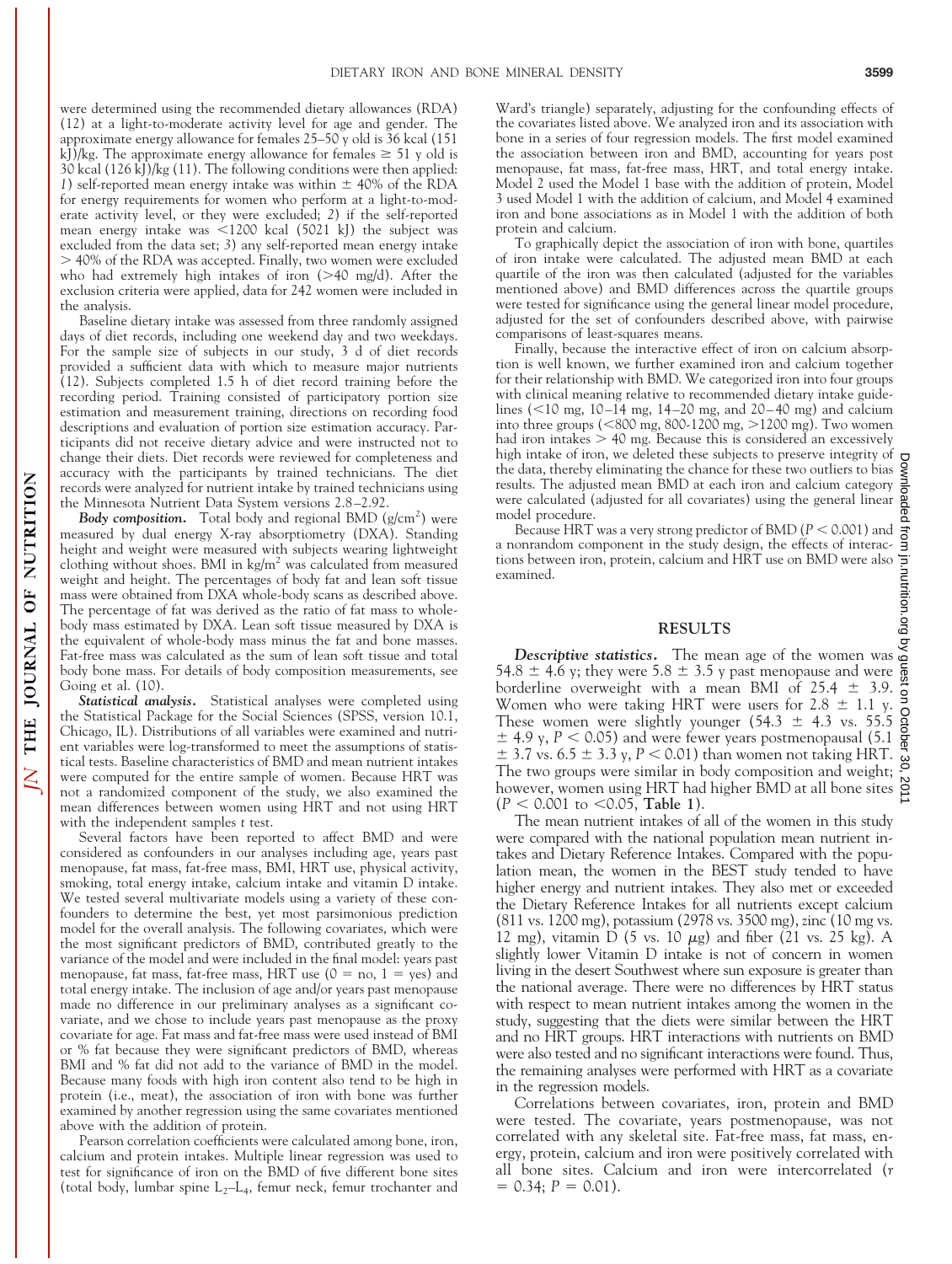were determined using the recommended dietary allowances (RDA) (12) at a light-to-moderate activity level for age and gender. The approximate energy allowance for females 25–50 y old is 36 kcal (151 kJ)/kg. The approximate energy allowance for females  $\geq 51$  y old is 30 kcal (126 kJ)/kg (11). The following conditions were then applied: 1) self-reported mean energy intake was within  $\pm$  40% of the RDA for energy requirements for women who perform at a light-to-moderate activity level, or they were excluded; *2*) if the self-reported mean energy intake was  $\leq 1200$  kcal (5021 kJ) the subject was excluded from the data set; *3*) any self-reported mean energy intake - 40% of the RDA was accepted. Finally, two women were excluded who had extremely high intakes of iron (>40 mg/d). After the exclusion criteria were applied, data for 242 women were included in the analysis.

Baseline dietary intake was assessed from three randomly assigned days of diet records, including one weekend day and two weekdays. For the sample size of subjects in our study, 3 d of diet records provided a sufficient data with which to measure major nutrients (12). Subjects completed 1.5 h of diet record training before the recording period. Training consisted of participatory portion size estimation and measurement training, directions on recording food descriptions and evaluation of portion size estimation accuracy. Participants did not receive dietary advice and were instructed not to change their diets. Diet records were reviewed for completeness and accuracy with the participants by trained technicians. The diet records were analyzed for nutrient intake by trained technicians using the Minnesota Nutrient Data System versions 2.8–2.92.

Body composition. Total body and regional BMD (g/cm<sup>2</sup>) were measured by dual energy X-ray absorptiometry (DXA). Standing height and weight were measured with subjects wearing lightweight clothing without shoes. BMI in  $\text{kg/m}^2$  was calculated from measured weight and height. The percentages of body fat and lean soft tissue mass were obtained from DXA whole-body scans as described above. The percentage of fat was derived as the ratio of fat mass to wholebody mass estimated by DXA. Lean soft tissue measured by DXA is the equivalent of whole-body mass minus the fat and bone masses. Fat-free mass was calculated as the sum of lean soft tissue and total body bone mass. For details of body composition measurements, see Going et al. (10).

*Statistical analysis.* Statistical analyses were completed using the Statistical Package for the Social Sciences (SPSS, version 10.1, Chicago, IL). Distributions of all variables were examined and nutrient variables were log-transformed to meet the assumptions of statistical tests. Baseline characteristics of BMD and mean nutrient intakes were computed for the entire sample of women. Because HRT was not a randomized component of the study, we also examined the mean differences between women using HRT and not using HRT with the independent samples *t* test.

Several factors have been reported to affect BMD and were considered as confounders in our analyses including age, years past menopause, fat mass, fat-free mass, BMI, HRT use, physical activity, smoking, total energy intake, calcium intake and vitamin D intake. We tested several multivariate models using a variety of these confounders to determine the best, yet most parsimonious prediction model for the overall analysis. The following covariates, which were the most significant predictors of BMD, contributed greatly to the variance of the model and were included in the final model: years past menopause, fat mass, fat-free mass, HRT use  $(0 = no, 1 = yes)$  and total energy intake. The inclusion of age and/or years past menopause made no difference in our preliminary analyses as a significant covariate, and we chose to include years past menopause as the proxy covariate for age. Fat mass and fat-free mass were used instead of BMI or % fat because they were significant predictors of BMD, whereas BMI and % fat did not add to the variance of BMD in the model. Because many foods with high iron content also tend to be high in protein (i.e., meat), the association of iron with bone was further examined by another regression using the same covariates mentioned above with the addition of protein.

Pearson correlation coefficients were calculated among bone, iron, calcium and protein intakes. Multiple linear regression was used to test for significance of iron on the BMD of five different bone sites (total body, lumbar spine  $L_2-L_4$ , femur neck, femur trochanter and

Ward's triangle) separately, adjusting for the confounding effects of the covariates listed above. We analyzed iron and its association with bone in a series of four regression models. The first model examined the association between iron and BMD, accounting for years post menopause, fat mass, fat-free mass, HRT, and total energy intake. Model 2 used the Model 1 base with the addition of protein, Model 3 used Model 1 with the addition of calcium, and Model 4 examined iron and bone associations as in Model 1 with the addition of both protein and calcium.

To graphically depict the association of iron with bone, quartiles of iron intake were calculated. The adjusted mean BMD at each quartile of the iron was then calculated (adjusted for the variables mentioned above) and BMD differences across the quartile groups were tested for significance using the general linear model procedure, adjusted for the set of confounders described above, with pairwise comparisons of least-squares means.

Finally, because the interactive effect of iron on calcium absorption is well known, we further examined iron and calcium together for their relationship with BMD. We categorized iron into four groups with clinical meaning relative to recommended dietary intake guidelines (10 mg, 10–14 mg, 14–20 mg, and 20–40 mg) and calcium into three groups (<800 mg, 800-1200 mg, >1200 mg). Two women had iron intakes > 40 mg. Because this is considered an excessively high intake of iron, we deleted these subjects to preserve integrity of  $\sigma$ the data, thereby eliminating the chance for these two outliers to bias results. The adjusted mean BMD at each iron and calcium category were calculated (adjusted for all covariates) using the general linear model procedure.

Because HRT was a very strong predictor of BMD ( $P < 0.001$ ) and a nonrandom component in the study design, the effects of interactions between iron, protein, calcium and HRT use on BMD were also examined.

### **RESULTS**

 by guest on October 30, 2011 [jn.nutrition.org](http://jn.nutrition.org/) Downloaded from *Descriptive statistics.* The mean age of the women was 54.8  $\pm$  4.6 y; they were 5.8  $\pm$  3.5 y past menopause and were borderline overweight with a mean BMI of 25.4  $\pm$  3.9.  $\frac{1}{3}$ Women who were taking HRT were users for  $2.8 \pm 1.1$  y. These women were slightly younger (54.3  $\pm$  4.3 vs. 55.5  $\pm$  4.9 y,  $P < 0.05$ ) and were fewer years postmenopausal (5.1)  $\pm$  4.9 y,  $r \sim 0.03$  and were lever from Franch taking HRT.  $\frac{\pi}{\omega}$ <br> $\pm$  3.7 vs. 6.5  $\pm$  3.3 y,  $P < 0.01$ ) than women not taking HRT.  $\frac{\pi}{\omega}$ The two groups were similar in body composition and weight; however, women using HRT had higher BMD at all bone sites  $\frac{8}{9}$  $(P < 0.001$  to  $< 0.05$ , **Table 1**).

The mean nutrient intakes of all of the women in this study were compared with the national population mean nutrient intakes and Dietary Reference Intakes. Compared with the population mean, the women in the BEST study tended to have higher energy and nutrient intakes. They also met or exceeded the Dietary Reference Intakes for all nutrients except calcium (811 vs. 1200 mg), potassium (2978 vs. 3500 mg), zinc (10 mg vs. 12 mg), vitamin  $\overline{D}$  (5 vs. 10  $\mu$ g) and fiber (21 vs. 25 kg). A slightly lower Vitamin D intake is not of concern in women living in the desert Southwest where sun exposure is greater than the national average. There were no differences by HRT status with respect to mean nutrient intakes among the women in the study, suggesting that the diets were similar between the HRT and no HRT groups. HRT interactions with nutrients on BMD were also tested and no significant interactions were found. Thus, the remaining analyses were performed with HRT as a covariate in the regression models.

Correlations between covariates, iron, protein and BMD were tested. The covariate, years postmenopause, was not correlated with any skeletal site. Fat-free mass, fat mass, energy, protein, calcium and iron were positively correlated with all bone sites. Calcium and iron were intercorrelated (*r*  $= 0.34; P = 0.01$ .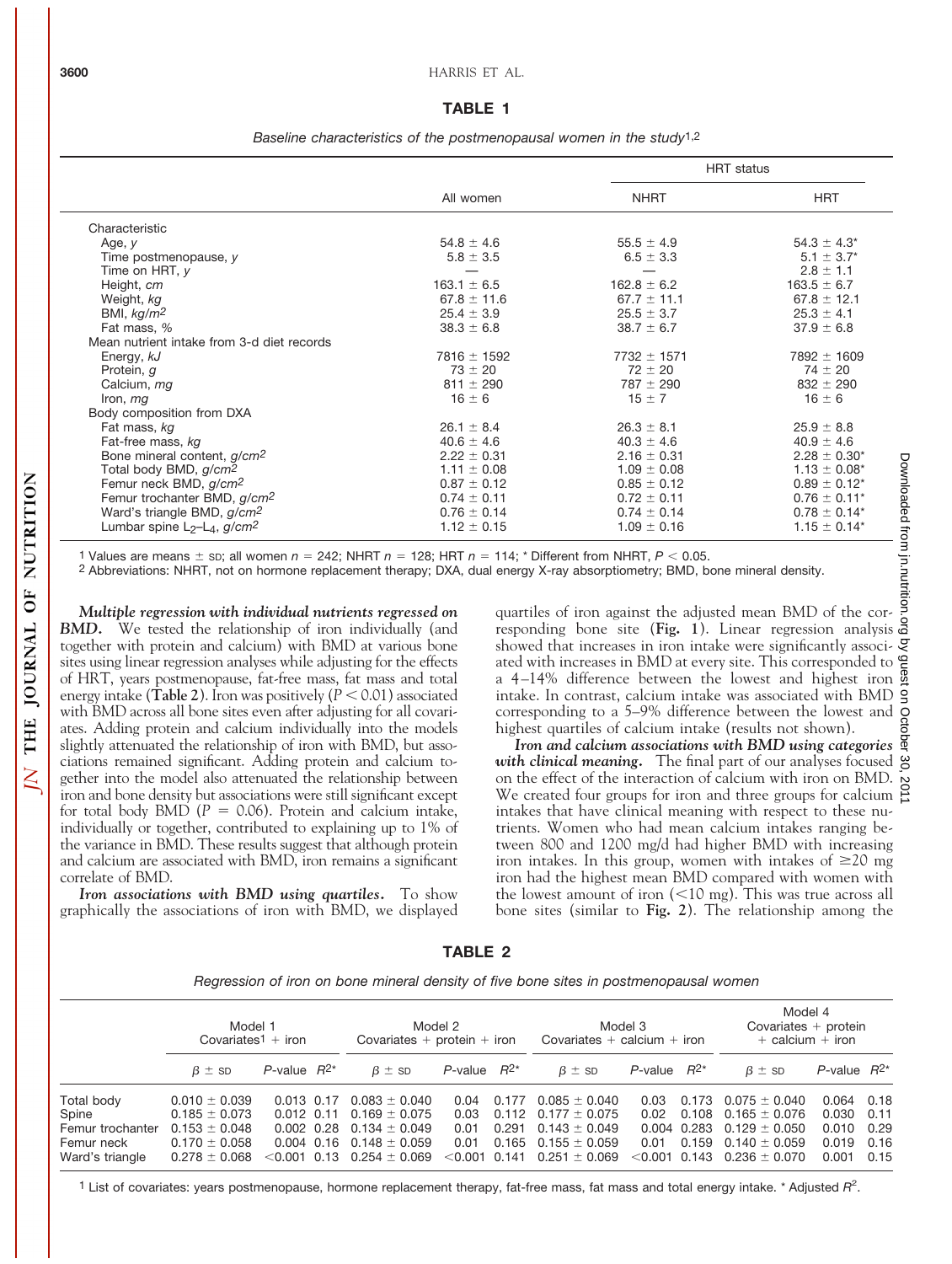## **TABLE 1**

*Baseline characteristics of the postmenopausal women in the study*1,2

|                                            |                 |                 | <b>HRT</b> status            |  |
|--------------------------------------------|-----------------|-----------------|------------------------------|--|
|                                            | All women       | <b>NHRT</b>     | <b>HRT</b>                   |  |
| Characteristic                             |                 |                 |                              |  |
| Age, y                                     | $54.8 \pm 4.6$  | $55.5 \pm 4.9$  | $54.3 \pm 4.3^*$             |  |
| Time postmenopause, y                      | $5.8 \pm 3.5$   | $6.5 \pm 3.3$   | $5.1 \pm 3.7^*$              |  |
| Time on HRT, y                             |                 |                 | $2.8 \pm 1.1$                |  |
| Height, cm                                 | $163.1 \pm 6.5$ | $162.8 \pm 6.2$ | $163.5 \pm 6.7$              |  |
| Weight, kg                                 | $67.8 \pm 11.6$ | $67.7 \pm 11.1$ | $67.8 \pm 12.1$              |  |
| BMI, $kg/m2$                               | $25.4 \pm 3.9$  | $25.5 \pm 3.7$  | $25.3 \pm 4.1$               |  |
| Fat mass, %                                | $38.3 \pm 6.8$  | $38.7 \pm 6.7$  | $37.9 \pm 6.8$               |  |
| Mean nutrient intake from 3-d diet records |                 |                 |                              |  |
| Energy, kJ                                 | $7816 \pm 1592$ | $7732 \pm 1571$ | $7892 \pm 1609$              |  |
| Protein, g                                 | $73 \pm 20$     | $72 \pm 20$     | $74 \pm 20$                  |  |
| Calcium, mg                                | $811 \pm 290$   | $787 \pm 290$   | $832 \pm 290$                |  |
| Iron, <i>mg</i>                            | $16 \pm 6$      | $15 \pm 7$      | $16 \pm 6$                   |  |
| Body composition from DXA                  |                 |                 |                              |  |
| Fat mass, kg                               | $26.1 \pm 8.4$  | $26.3 \pm 8.1$  | $25.9 \pm 8.8$               |  |
| Fat-free mass, kg                          | $40.6 \pm 4.6$  | $40.3 \pm 4.6$  | $40.9 \pm 4.6$               |  |
| Bone mineral content, g/cm <sup>2</sup>    | $2.22 \pm 0.31$ | $2.16 \pm 0.31$ | $2.28 \pm 0.30^*$            |  |
| Total body BMD, g/cm <sup>2</sup>          | $1.11 \pm 0.08$ | $1.09 \pm 0.08$ | $1.13 \pm 0.08^*$            |  |
| Femur neck BMD, g/cm <sup>2</sup>          | $0.87 \pm 0.12$ | $0.85 \pm 0.12$ | $0.89 \pm 0.12^*$            |  |
| Femur trochanter BMD, g/cm <sup>2</sup>    | $0.74 \pm 0.11$ | $0.72 \pm 0.11$ | $0.76 \pm 0.11$ <sup>*</sup> |  |
| Ward's triangle BMD, g/cm <sup>2</sup>     | $0.76 \pm 0.14$ | $0.74 \pm 0.14$ | $0.78 \pm 0.14^*$            |  |
| Lumbar spine $L_2-L_4$ , $g/cm^2$          | $1.12 \pm 0.15$ | $1.09 \pm 0.16$ | $1.15 \pm 0.14^*$            |  |

1 Values are means  $\pm$  sp; all women  $n = 242$ ; NHRT  $n = 128$ ; HRT  $n = 114$ ; \* Different from NHRT,  $P < 0.05$ .

2 Abbreviations: NHRT, not on hormone replacement therapy; DXA, dual energy X-ray absorptiometry; BMD, bone mineral density.

*Multiple regression with individual nutrients regressed on BMD.* We tested the relationship of iron individually (and together with protein and calcium) with BMD at various bone sites using linear regression analyses while adjusting for the effects of HRT, years postmenopause, fat-free mass, fat mass and total energy intake ( $\hat{\textbf{T}}$ able 2). Iron was positively ( $P < 0.01$ ) associated with BMD across all bone sites even after adjusting for all covariates. Adding protein and calcium individually into the models slightly attenuated the relationship of iron with BMD, but associations remained significant. Adding protein and calcium together into the model also attenuated the relationship between iron and bone density but associations were still significant except for total body BMD ( $P = 0.06$ ). Protein and calcium intake, individually or together, contributed to explaining up to 1% of the variance in BMD. These results suggest that although protein and calcium are associated with BMD, iron remains a significant correlate of BMD.

*Iron associations with BMD using quartiles.* To show graphically the associations of iron with BMD, we displayed

quartiles of iron against the adjusted mean BMD of the corresponding bone site (**Fig. 1**). Linear regression analysis showed that increases in iron intake were significantly associ- $\mathcal{\overline{S}}$ ated with increases in BMD at every site. This corresponded to a 4–14% difference between the lowest and highest iron intake. In contrast, calcium intake was associated with BMD corresponding to a 5–9% difference between the lowest and highest quartiles of calcium intake (results not shown).

*Iron and calcium associations with BMD using categories* with clinical meaning. The final part of our analyses focused 8 on the effect of the interaction of calcium with iron on BMD. We created four groups for iron and three groups for calcium intakes that have clinical meaning with respect to these nutrients. Women who had mean calcium intakes ranging between 800 and 1200 mg/d had higher BMD with increasing iron intakes. In this group, women with intakes of  $\geq$ 20 mg iron had the highest mean BMD compared with women with the lowest amount of iron  $(< 10$  mg). This was true across all bone sites (similar to **Fig. 2**). The relationship among the

**TABLE 2**

*Regression of iron on bone mineral density of five bone sites in postmenopausal women*

|                                                                          | Model 1<br>Covariates <sup>1</sup> + iron                                                             |                     |                                                                                                                                                             | Model 2<br>Covariates + protein + iron          |                | Model 3<br>Covariates $+$ calcium $+$ iron                                                                            |                      | Model 4<br>Covariates $+$ protein<br>$+$ calcium $+$ iron |                                                                                                                                                        |                                                                    |              |
|--------------------------------------------------------------------------|-------------------------------------------------------------------------------------------------------|---------------------|-------------------------------------------------------------------------------------------------------------------------------------------------------------|-------------------------------------------------|----------------|-----------------------------------------------------------------------------------------------------------------------|----------------------|-----------------------------------------------------------|--------------------------------------------------------------------------------------------------------------------------------------------------------|--------------------------------------------------------------------|--------------|
|                                                                          | $\beta$ $\pm$ SD                                                                                      | $P$ -value $R^{2*}$ | $\beta$ $\pm$ SD                                                                                                                                            | $P$ -value $R^{2*}$                             |                | $\beta$ $\pm$ SD                                                                                                      | $P$ -value $R^{2*}$  |                                                           | $\beta$ $\pm$ SD                                                                                                                                       | $P$ -value $R^{2*}$                                                |              |
| Total body<br>Spine<br>Femur trochanter<br>Femur neck<br>Ward's triangle | $0.010 \pm 0.039$<br>$0.185 \pm 0.073$<br>$0.153 \pm 0.048$<br>$0.170 \pm 0.058$<br>$0.278 \pm 0.068$ | 0.013 0.17          | $0.083 \pm 0.040$<br>$0.012$ 0.11 $0.169 \pm 0.075$<br>$0.002$ 0.28 0.134 $\pm$ 0.049<br>$0.004$ 0.16 $0.148 \pm 0.059$<br>$< 0.001$ 0.13 0.254 $\pm$ 0.069 | 0.04<br>0.03<br>0.01<br>0.01<br>$< 0.001$ 0.141 | 0.177<br>0.291 | $0.085 \pm 0.040$<br>$0.112$ $0.177 \pm 0.075$<br>$0.143 \pm 0.049$<br>$0.165$ $0.155 \pm 0.059$<br>$0.251 \pm 0.069$ | 0.03<br>0.02<br>0.01 | 0.173                                                     | $0.075 \pm 0.040$<br>$0.108$ $0.165 \pm 0.076$<br>$0.004$ 0.283 0.129 $\pm$ 0.050<br>$0.159$ $0.140 \pm 0.059$<br>$\leq$ 0.001 0.143 0.236 $\pm$ 0.070 | $0.064$ 0.18<br>$0.030$ $0.11$<br>$0.010$ $0.29$<br>0.019<br>0.001 | 0.16<br>0.15 |

<sup>1</sup> List of covariates: years postmenopause, hormone replacement therapy, fat-free mass, fat mass and total energy intake. \* Adjusted  $R^2$ .

THE JOURNAL OF NUTRITION

 $\overline{\mathsf{K}}$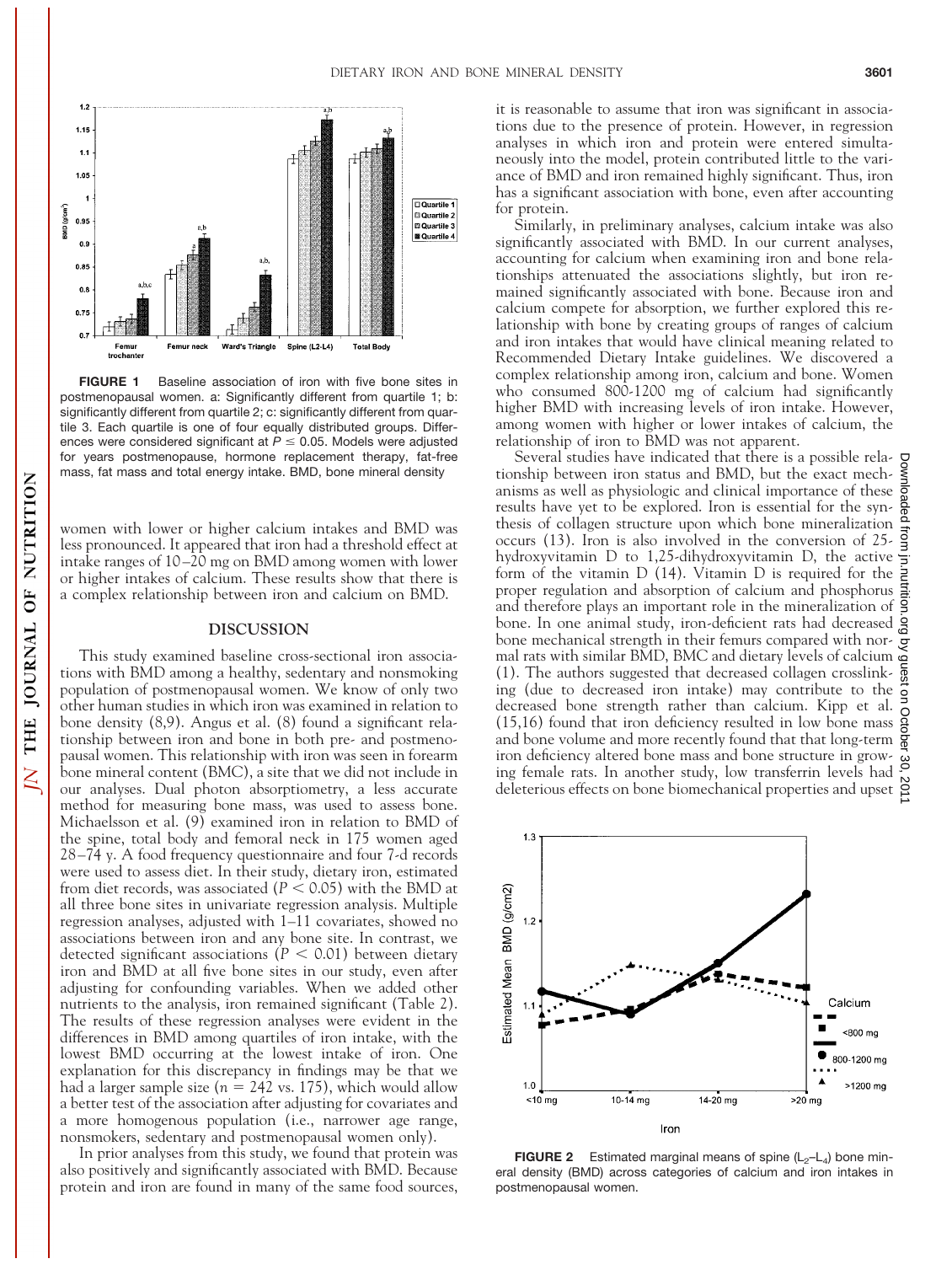

**FIGURE 1** Baseline association of iron with five bone sites in postmenopausal women. a: Significantly different from quartile 1; b: significantly different from quartile 2; c: significantly different from quartile 3. Each quartile is one of four equally distributed groups. Differences were considered significant at  $P \leq 0.05$ . Models were adjusted for years postmenopause, hormone replacement therapy, fat-free mass, fat mass and total energy intake. BMD, bone mineral density

women with lower or higher calcium intakes and BMD was less pronounced. It appeared that iron had a threshold effect at intake ranges of 10–20 mg on BMD among women with lower or higher intakes of calcium. These results show that there is a complex relationship between iron and calcium on BMD.

#### **DISCUSSION**

THE JOURNAL OF NUTRITION

 $\overline{N}$ 

This study examined baseline cross-sectional iron associations with BMD among a healthy, sedentary and nonsmoking population of postmenopausal women. We know of only two other human studies in which iron was examined in relation to bone density (8,9). Angus et al. (8) found a significant relationship between iron and bone in both pre- and postmenopausal women. This relationship with iron was seen in forearm bone mineral content (BMC), a site that we did not include in our analyses. Dual photon absorptiometry, a less accurate method for measuring bone mass, was used to assess bone. Michaelsson et al. (9) examined iron in relation to BMD of the spine, total body and femoral neck in 175 women aged 28–74 y. A food frequency questionnaire and four 7-d records were used to assess diet. In their study, dietary iron, estimated from diet records, was associated ( $P < 0.05$ ) with the BMD at all three bone sites in univariate regression analysis. Multiple regression analyses, adjusted with 1–11 covariates, showed no associations between iron and any bone site. In contrast, we detected significant associations ( $P < 0.01$ ) between dietary iron and BMD at all five bone sites in our study, even after adjusting for confounding variables. When we added other nutrients to the analysis, iron remained significant (Table 2). The results of these regression analyses were evident in the differences in BMD among quartiles of iron intake, with the lowest BMD occurring at the lowest intake of iron. One explanation for this discrepancy in findings may be that we had a larger sample size ( $n = 242$  vs. 175), which would allow a better test of the association after adjusting for covariates and a more homogenous population (i.e., narrower age range, nonsmokers, sedentary and postmenopausal women only).

In prior analyses from this study, we found that protein was also positively and significantly associated with BMD. Because protein and iron are found in many of the same food sources,

it is reasonable to assume that iron was significant in associations due to the presence of protein. However, in regression analyses in which iron and protein were entered simultaneously into the model, protein contributed little to the variance of BMD and iron remained highly significant. Thus, iron has a significant association with bone, even after accounting for protein.

Similarly, in preliminary analyses, calcium intake was also significantly associated with BMD. In our current analyses, accounting for calcium when examining iron and bone relationships attenuated the associations slightly, but iron remained significantly associated with bone. Because iron and calcium compete for absorption, we further explored this relationship with bone by creating groups of ranges of calcium and iron intakes that would have clinical meaning related to Recommended Dietary Intake guidelines. We discovered a complex relationship among iron, calcium and bone. Women who consumed 800-1200 mg of calcium had significantly higher BMD with increasing levels of iron intake. However, among women with higher or lower intakes of calcium, the relationship of iron to BMD was not apparent.

Several studies have indicated that there is a possible relationship between iron status and BMD, but the exact mechanisms as well as physiologic and clinical importance of these results have yet to be explored. Iron is essential for the synthesis of collagen structure upon which bone mineralization occurs (13). Iron is also involved in the conversion of  $25-\frac{3}{9}$ hydroxyvitamin D to 1,25-dihydroxyvitamin D, the active form of the vitamin D (14). Vitamin D is required for the  $\frac{1}{5}$ proper regulation and absorption of calcium and phosphorus and therefore plays an important role in the mineralization of  $\frac{3}{5}$ <br>hope. In one opimal is a lattice of  $\frac{3}{5}$ bone. In one animal study, iron-deficient rats had decreased a bone mechanical strength in their femurs compared with nor- $\overline{g}$ mal rats with similar BMD, BMC and dietary levels of calcium (1). The authors suggested that decreased collagen crosslinking (due to decreased iron intake) may contribute to the  $\frac{3}{9}$ decreased bone strength rather than calcium. Kipp et al. (15,16) found that iron deficiency resulted in low bone mass and bone volume and more recently found that that long-term iron deficiency altered bone mass and bone structure in growing female rats. In another study, low transferrin levels had deleterious effects on bone biomechanical properties and upset



**FIGURE 2** Estimated marginal means of spine  $(L_2-L_4)$  bone mineral density (BMD) across categories of calcium and iron intakes in postmenopausal women.